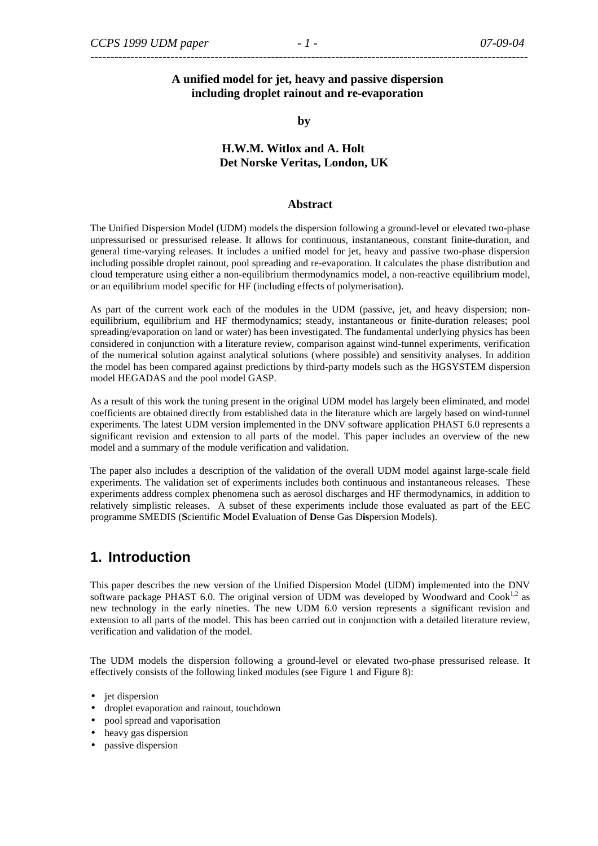# *-------------------------------------------------------------------------------------------------------------*

### **A unified model for jet, heavy and passive dispersion including droplet rainout and re-evaporation**

**by** 

### **H.W.M. Witlox and A. Holt Det Norske Veritas, London, UK**

#### **Abstract**

The Unified Dispersion Model (UDM) models the dispersion following a ground-level or elevated two-phase unpressurised or pressurised release. It allows for continuous, instantaneous, constant finite-duration, and general time-varying releases. It includes a unified model for jet, heavy and passive two-phase dispersion including possible droplet rainout, pool spreading and re-evaporation. It calculates the phase distribution and cloud temperature using either a non-equilibrium thermodynamics model, a non-reactive equilibrium model, or an equilibrium model specific for HF (including effects of polymerisation).

As part of the current work each of the modules in the UDM (passive, jet, and heavy dispersion; nonequilibrium, equilibrium and HF thermodynamics; steady, instantaneous or finite-duration releases; pool spreading/evaporation on land or water) has been investigated. The fundamental underlying physics has been considered in conjunction with a literature review, comparison against wind-tunnel experiments, verification of the numerical solution against analytical solutions (where possible) and sensitivity analyses. In addition the model has been compared against predictions by third-party models such as the HGSYSTEM dispersion model HEGADAS and the pool model GASP.

As a result of this work the tuning present in the original UDM model has largely been eliminated, and model coefficients are obtained directly from established data in the literature which are largely based on wind-tunnel experiments. The latest UDM version implemented in the DNV software application PHAST 6.0 represents a significant revision and extension to all parts of the model. This paper includes an overview of the new model and a summary of the module verification and validation.

The paper also includes a description of the validation of the overall UDM model against large-scale field experiments. The validation set of experiments includes both continuous and instantaneous releases. These experiments address complex phenomena such as aerosol discharges and HF thermodynamics, in addition to relatively simplistic releases. A subset of these experiments include those evaluated as part of the EEC programme SMEDIS (**S**cientific **M**odel **E**valuation of **D**ense Gas D**is**persion Models).

# **1. Introduction**

This paper describes the new version of the Unified Dispersion Model (UDM) implemented into the DNV software package PHAST 6.0. The original version of UDM was developed by Woodward and Cook<sup>1,2</sup> as new technology in the early nineties. The new UDM 6.0 version represents a significant revision and extension to all parts of the model. This has been carried out in conjunction with a detailed literature review, verification and validation of the model.

The UDM models the dispersion following a ground-level or elevated two-phase pressurised release. It effectively consists of the following linked modules (see Figure 1 and Figure 8):

- jet dispersion
- droplet evaporation and rainout, touchdown
- pool spread and vaporisation
- heavy gas dispersion
- passive dispersion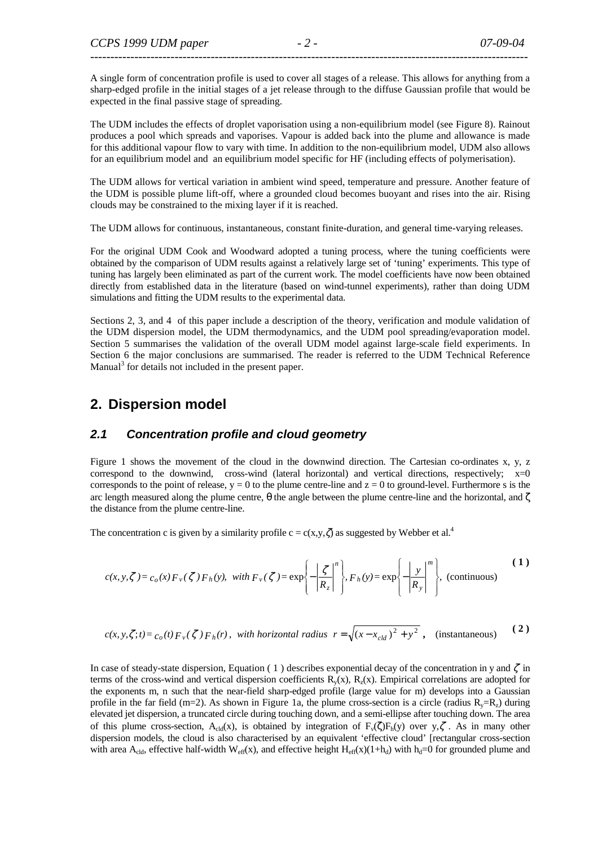A single form of concentration profile is used to cover all stages of a release. This allows for anything from a sharp-edged profile in the initial stages of a jet release through to the diffuse Gaussian profile that would be expected in the final passive stage of spreading.

The UDM includes the effects of droplet vaporisation using a non-equilibrium model (see Figure 8). Rainout produces a pool which spreads and vaporises. Vapour is added back into the plume and allowance is made for this additional vapour flow to vary with time. In addition to the non-equilibrium model, UDM also allows for an equilibrium model and an equilibrium model specific for HF (including effects of polymerisation).

The UDM allows for vertical variation in ambient wind speed, temperature and pressure. Another feature of the UDM is possible plume lift-off, where a grounded cloud becomes buoyant and rises into the air. Rising clouds may be constrained to the mixing layer if it is reached.

The UDM allows for continuous, instantaneous, constant finite-duration, and general time-varying releases.

For the original UDM Cook and Woodward adopted a tuning process, where the tuning coefficients were obtained by the comparison of UDM results against a relatively large set of 'tuning' experiments. This type of tuning has largely been eliminated as part of the current work. The model coefficients have now been obtained directly from established data in the literature (based on wind-tunnel experiments), rather than doing UDM simulations and fitting the UDM results to the experimental data.

Sections 2, 3, and 4 of this paper include a description of the theory, verification and module validation of the UDM dispersion model, the UDM thermodynamics, and the UDM pool spreading/evaporation model. Section 5 summarises the validation of the overall UDM model against large-scale field experiments. In Section 6 the major conclusions are summarised. The reader is referred to the UDM Technical Reference Manual<sup>3</sup> for details not included in the present paper.

# **2. Dispersion model**

#### **2.1 Concentration profile and cloud geometry**

Figure 1 shows the movement of the cloud in the downwind direction. The Cartesian co-ordinates x, y, z correspond to the downwind, cross-wind (lateral horizontal) and vertical directions, respectively;  $x=0$ corresponds to the point of release,  $y = 0$  to the plume centre-line and  $z = 0$  to ground-level. Furthermore s is the arc length measured along the plume centre,  $\theta$  the angle between the plume centre-line and the horizontal, and  $\zeta$ the distance from the plume centre-line.

The concentration c is given by a similarity profile  $c = c(x,y,\zeta)$  as suggested by Webber et al.<sup>4</sup>

$$
c(x, y, \zeta) = c_o(x) F_v(\zeta) F_h(y), \quad \text{with } F_v(\zeta) = \exp\left\{-\left|\frac{\zeta}{R_z}\right|^n\right\}, F_h(y) = \exp\left\{-\left|\frac{y}{R_y}\right|^m\right\}, \quad \text{(continuous)}\tag{1}
$$

$$
c(x, y, \zeta; t) = c_o(t) F_v(\zeta) F_h(r), \text{ with horizontal radius } r = \sqrt{(x - x_{cld})^2 + y^2}, \text{ (instantaneous)} \tag{2}
$$

In case of steady-state dispersion, Equation (1) describes exponential decay of the concentration in y and  $\zeta$  in terms of the cross-wind and vertical dispersion coefficients  $R<sub>v</sub>(x)$ ,  $R<sub>v</sub>(x)$ . Empirical correlations are adopted for the exponents m, n such that the near-field sharp-edged profile (large value for m) develops into a Gaussian profile in the far field (m=2). As shown in Figure 1a, the plume cross-section is a circle (radius  $R_y=R_z$ ) during elevated jet dispersion, a truncated circle during touching down, and a semi-ellipse after touching down. The area of this plume cross-section, A<sub>cld</sub>(x), is obtained by integration of  $F_v(\zeta)F_h(y)$  over  $y, \zeta$ . As in many other dispersion models, the cloud is also characterised by an equivalent 'effective cloud' [rectangular cross-section with area A<sub>cld</sub>, effective half-width W<sub>eff</sub>(x), and effective height H<sub>eff</sub>(x)(1+h<sub>d</sub>) with h<sub>d</sub>=0 for grounded plume and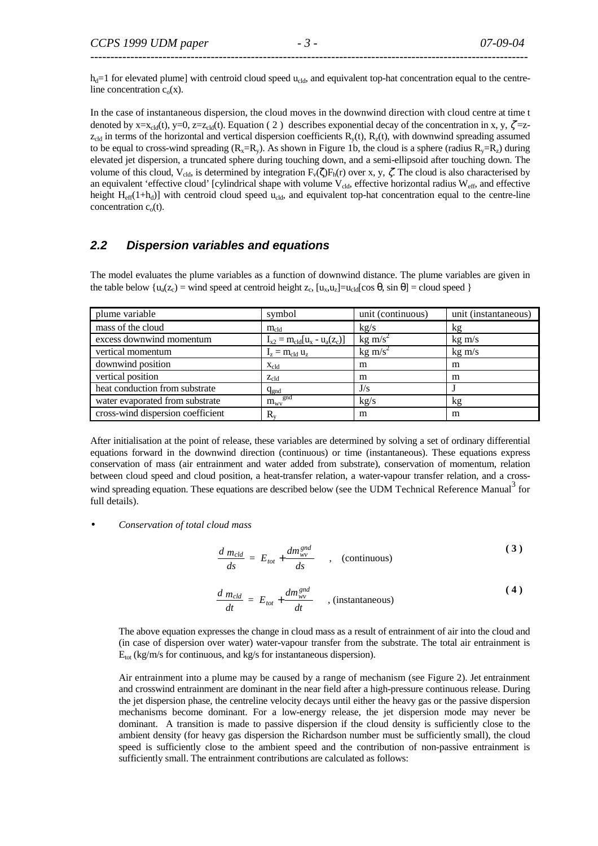$h_d=1$  for elevated plume] with centroid cloud speed  $u_{cld}$ , and equivalent top-hat concentration equal to the centreline concentration  $c_0(x)$ .

In the case of instantaneous dispersion, the cloud moves in the downwind direction with cloud centre at time t denoted by x=x<sub>cld</sub>(t), y=0, z=z<sub>cld</sub>(t). Equation (2) describes exponential decay of the concentration in x, y,  $\zeta$ =z $z_{\text{cld}}$  in terms of the horizontal and vertical dispersion coefficients  $R_y(t)$ ,  $R_z(t)$ , with downwind spreading assumed to be equal to cross-wind spreading  $(R_x=R_y)$ . As shown in Figure 1b, the cloud is a sphere (radius  $R_y=R_z$ ) during elevated jet dispersion, a truncated sphere during touching down, and a semi-ellipsoid after touching down. The volume of this cloud, V<sub>cld</sub>, is determined by integration  $F_v(\zeta)F_h(r)$  over x, y,  $\zeta$ . The cloud is also characterised by an equivalent 'effective cloud' [cylindrical shape with volume  $V_{\text{cld}}$ , effective horizontal radius  $W_{\text{eff}}$ , and effective height  $H_{eff}(1+h_d)$ ] with centroid cloud speed  $u_{cld}$ , and equivalent top-hat concentration equal to the centre-line concentration  $c<sub>o</sub>(t)$ .

# **2.2 Dispersion variables and equations**

The model evaluates the plume variables as a function of downwind distance. The plume variables are given in the table below  $\{u_a(z_c) = \text{wind} \text{ speed at centroid height } z_c, [u_x, u_z] = u_{cld}[cos \theta, sin \theta] = cloud \text{ speed } \}$ 

| plume variable                    | symbol                             | unit (continuous)    | unit (instantaneous) |
|-----------------------------------|------------------------------------|----------------------|----------------------|
| mass of the cloud                 | $m_{cld}$                          | kg/s                 | kg                   |
| excess downwind momentum          | $I_{x2} = m_{cld}[u_x - u_a(z_c)]$ | $kg \, \text{m/s}^2$ | $kg \, \text{m/s}$   |
| vertical momentum                 | $I_z = m_{cld} u_z$                | $kg \, \text{m/s}^2$ | $kg \, m/s$          |
| downwind position                 | $X_{cld}$                          | m                    | m                    |
| vertical position                 | $Z_{\text{cld}}$                   | m                    | m                    |
| heat conduction from substrate    | $q_{gnd}$                          | J/s                  |                      |
| water evaporated from substrate   | $m_{\rm wv}^{\rm gnd}$             | kg/s                 | kg                   |
| cross-wind dispersion coefficient | $\rm R_{\rm v}$                    | m                    | m                    |

After initialisation at the point of release, these variables are determined by solving a set of ordinary differential equations forward in the downwind direction (continuous) or time (instantaneous). These equations express conservation of mass (air entrainment and water added from substrate), conservation of momentum, relation between cloud speed and cloud position, a heat-transfer relation, a water-vapour transfer relation, and a crosswind spreading equation. These equations are described below (see the UDM Technical Reference Manual<sup>3</sup> for full details).

• *Conservation of total cloud mass* 

$$
\frac{d \, m_{cld}}{ds} = E_{tot} + \frac{dm_{wv}^{gnd}}{ds} \qquad , \quad \text{(continuous)} \tag{3}
$$

$$
\frac{d \, m_{cld}}{dt} = E_{tot} + \frac{dm_{wv}^{gnd}}{dt} \qquad , \text{(instantaneous)} \tag{4}
$$

 The above equation expresses the change in cloud mass as a result of entrainment of air into the cloud and (in case of dispersion over water) water-vapour transfer from the substrate. The total air entrainment is  $E_{\text{tot}}$  (kg/m/s for continuous, and kg/s for instantaneous dispersion).

Air entrainment into a plume may be caused by a range of mechanism (see Figure 2). Jet entrainment and crosswind entrainment are dominant in the near field after a high-pressure continuous release. During the jet dispersion phase, the centreline velocity decays until either the heavy gas or the passive dispersion mechanisms become dominant. For a low-energy release, the jet dispersion mode may never be dominant. A transition is made to passive dispersion if the cloud density is sufficiently close to the ambient density (for heavy gas dispersion the Richardson number must be sufficiently small), the cloud speed is sufficiently close to the ambient speed and the contribution of non-passive entrainment is sufficiently small. The entrainment contributions are calculated as follows: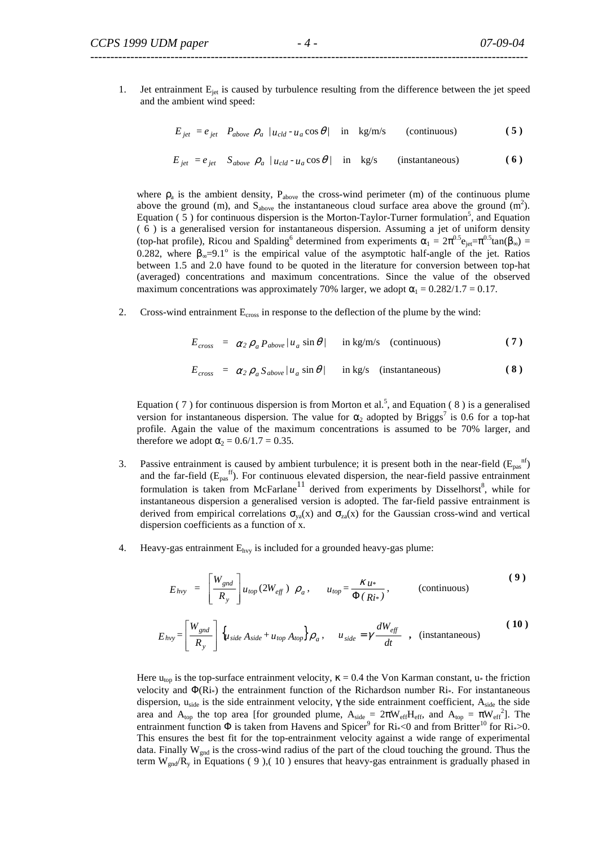1. Jet entrainment  $E_{jet}$  is caused by turbulence resulting from the difference between the jet speed and the ambient wind speed:

$$
E_{jet} = e_{jet} \quad P_{above} \quad \rho_a \quad /u_{cld} \cdot u_a \cos \theta / \quad \text{in} \quad \text{kg/m/s} \tag{continuous}
$$

$$
E_{jet} = e_{jet} \t S_{above} \t \rho_a / u_{cld} \t - u_a \cos \theta / \t in kg/s \t (instantaneous)
$$
 (6)

where  $\rho_a$  is the ambient density,  $P_{above}$  the cross-wind perimeter (m) of the continuous plume above the ground (m), and  $S_{above}$  the instantaneous cloud surface area above the ground (m<sup>2</sup>). Equation  $(5)$  for continuous dispersion is the Morton-Taylor-Turner formulation<sup>5</sup>, and Equation ( 6 ) is a generalised version for instantaneous dispersion. Assuming a jet of uniform density (top-hat profile), Ricou and Spalding<sup>6</sup> determined from experiments  $\alpha_1 = 2\pi^{0.5}e_{jet} = \pi^{0.5}tan(\beta_\infty)$  = 0.282, where  $\beta_{\infty} = 9.1^{\circ}$  is the empirical value of the asymptotic half-angle of the jet. Ratios between 1.5 and 2.0 have found to be quoted in the literature for conversion between top-hat (averaged) concentrations and maximum concentrations. Since the value of the observed maximum concentrations was approximately 70% larger, we adopt  $\alpha_1 = 0.282/1.7 = 0.17$ .

2. Cross-wind entrainment  $E_{cross}$  in response to the deflection of the plume by the wind:

$$
E_{cross} = \alpha_2 \rho_a P_{above} / u_a \sin \theta / \quad \text{in kg/m/s} \quad \text{(continuous)} \tag{7}
$$

$$
E_{cross} = \alpha_2 \rho_a S_{above} / u_a \sin \theta / \quad \text{in kg/s} \quad \text{(instantaneous)} \tag{8}
$$

Equation (7) for continuous dispersion is from Morton et al.<sup>5</sup>, and Equation (8) is a generalised version for instantaneous dispersion. The value for  $\alpha_2$  adopted by Briggs<sup>7</sup> is 0.6 for a top-hat profile. Again the value of the maximum concentrations is assumed to be 70% larger, and therefore we adopt  $\alpha_2 = 0.6/1.7 = 0.35$ .

- 3. Passive entrainment is caused by ambient turbulence; it is present both in the near-field  $(E_{pas}^{inf})$ and the far-field  $(E_{\text{pas}}^{ff})$ . For continuous elevated dispersion, the near-field passive entrainment formulation is taken from McFarlane<sup>11</sup> derived from experiments by Disselhorst<sup>8</sup>, while for instantaneous dispersion a generalised version is adopted. The far-field passive entrainment is derived from empirical correlations  $\sigma_{va}(x)$  and  $\sigma_{za}(x)$  for the Gaussian cross-wind and vertical dispersion coefficients as a function of x.
- 4. Heavy-gas entrainment  $E<sub>hvy</sub>$  is included for a grounded heavy-gas plume:

$$
E_{hvy} = \left[\frac{W_{gnd}}{R_y}\right]u_{top}(2W_{eff}) \rho_a, \qquad u_{top} = \frac{\kappa_{u*}}{\Phi(Ri*)}, \qquad \text{(continuous)}
$$
 (9)

$$
E_{hvy} = \left[\frac{W_{gnd}}{R_y}\right] \left\{ u_{side} A_{side} + u_{top} A_{top} \right\} \rho_a, \quad u_{side} = \gamma \frac{dW_{eff}}{dt} \quad , \quad \text{(instantaneous)} \tag{10}
$$

Here  $u_{\text{top}}$  is the top-surface entrainment velocity,  $\kappa = 0.4$  the Von Karman constant,  $u_*$  the friction velocity and  $\Phi(R_i^*)$  the entrainment function of the Richardson number Ri\*. For instantaneous dispersion, uside is the side entrainment velocity,  $\gamma$  the side entrainment coefficient, Aside the side area and  $A_{top}$  the top area [for grounded plume,  $A_{side} = 2\pi W_{eff}H_{eff}$ , and  $A_{top} = \pi W_{eff}^2$ ]. The entrainment function  $\Phi$  is taken from Havens and Spicer<sup>9</sup> for Ri<sub>\*</sub><0 and from Britter<sup>10</sup> for Ri<sub>\*</sub>>0. This ensures the best fit for the top-entrainment velocity against a wide range of experimental data. Finally  $W_{\text{gnd}}$  is the cross-wind radius of the part of the cloud touching the ground. Thus the term  $W_{\text{gnd}}/R_y$  in Equations (9),(10) ensures that heavy-gas entrainment is gradually phased in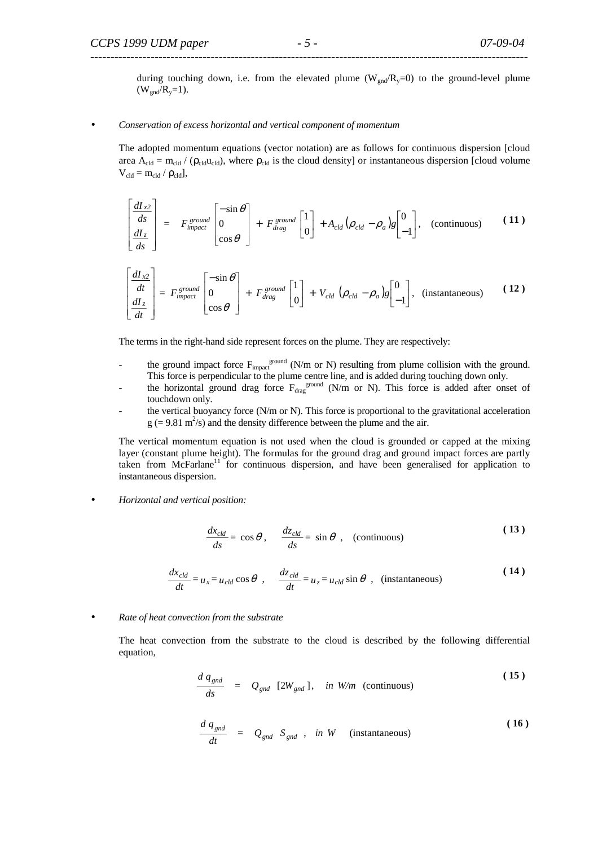during touching down, i.e. from the elevated plume ( $W_{\text{end}}/R_y=0$ ) to the ground-level plume  $(W_{end}/R_{v}=1)$ .

#### • *Conservation of excess horizontal and vertical component of momentum*

The adopted momentum equations (vector notation) are as follows for continuous dispersion [cloud area  $A_{cld} = m_{cld} / (\rho_{cld} u_{cld})$ , where  $\rho_{cld}$  is the cloud density] or instantaneous dispersion [cloud volume  $V_{cld} = m_{cld} / \rho_{cld}$ ],

$$
\begin{bmatrix}\n\frac{dI_{x2}}{ds} \\
\frac{dI_{z}}{ds}\n\end{bmatrix} = F_{impact}^{ground} \begin{bmatrix}\n-\sin \theta \\
0 \\
\cos \theta\n\end{bmatrix} + F_{drag}^{ground} \begin{bmatrix}\n1 \\
0\n\end{bmatrix} + A_{cld} (\rho_{cld} - \rho_a) g \begin{bmatrix}\n0 \\
-1\n\end{bmatrix}, \text{ (continuous)} (11)
$$

$$
\begin{bmatrix}\n\frac{dI_{x2}}{dt} \\
\frac{dI_{z}}{dt}\n\end{bmatrix} = F_{impact}^{ground} \begin{bmatrix}\n-\sin \theta \\
0 \\
\cos \theta\n\end{bmatrix} + F_{drag}^{ground} \begin{bmatrix}\n1 \\
0\n\end{bmatrix} + V_{cld} \left(\rho_{cld} - \rho_a\right)g \begin{bmatrix}\n0 \\
-1\n\end{bmatrix}, \text{ (instantaneous)}\n\tag{12}
$$

The terms in the right-hand side represent forces on the plume. They are respectively:

- the ground impact force  $F_{\text{impact}}^{\text{ground}}$  (N/m or N) resulting from plume collision with the ground. This force is perpendicular to the plume centre line, and is added during touching down only.
- the horizontal ground drag force  $F_{drag}$ <sup>ground</sup> (N/m or N). This force is added after onset of touchdown only.
- the vertical buoyancy force (N/m or N). This force is proportional to the gravitational acceleration  $g$  (= 9.81 m<sup>2</sup>/s) and the density difference between the plume and the air.

The vertical momentum equation is not used when the cloud is grounded or capped at the mixing layer (constant plume height). The formulas for the ground drag and ground impact forces are partly taken from  $McFarlane<sup>11</sup>$  for continuous dispersion, and have been generalised for application to instantaneous dispersion.

• *Horizontal and vertical position:* 

$$
\frac{dx_{cld}}{ds} = \cos\theta, \quad \frac{dz_{cld}}{ds} = \sin\theta, \quad \text{(continuous)}
$$
\n(13)

$$
\frac{dx_{cld}}{dt} = u_x = u_{cld} \cos \theta \ , \quad \frac{dz_{cld}}{dt} = u_z = u_{cld} \sin \theta \ , \ \text{(instantaneous)} \tag{14}
$$

• *Rate of heat convection from the substrate* 

The heat convection from the substrate to the cloud is described by the following differential equation,

$$
\frac{d\,q_{\text{gnd}}}{ds} = Q_{\text{gnd}} \,[2W_{\text{gnd}}], \quad \text{in } W/m \text{ (continuous)} \tag{15}
$$

$$
\frac{d\,q_{\text{gnd}}}{dt} = Q_{\text{gnd}} S_{\text{gnd}} , \text{ in } W \quad \text{(instantaneous)} \tag{16}
$$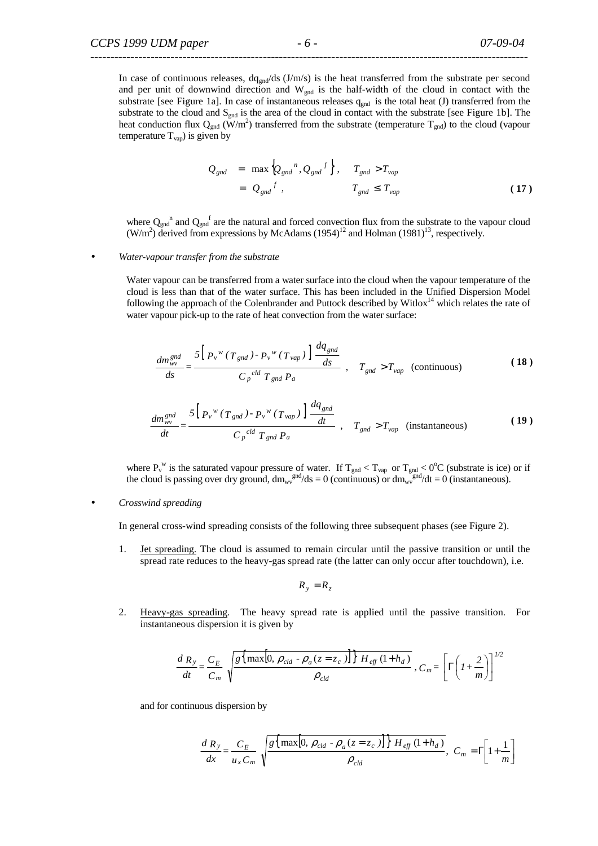In case of continuous releases,  $dq_{end}/ds$  (J/m/s) is the heat transferred from the substrate per second and per unit of downwind direction and  $W_{\text{end}}$  is the half-width of the cloud in contact with the substrate [see Figure 1a]. In case of instantaneous releases  $q_{gnd}$  is the total heat (J) transferred from the substrate to the cloud and  $S_{\text{gnd}}$  is the area of the cloud in contact with the substrate [see Figure 1b]. The heat conduction flux  $Q_{\text{gnd}}(\dot{W}/m^2)$  transferred from the substrate (temperature  $T_{\text{gnd}}$ ) to the cloud (vapour temperature  $T_{vap}$ ) is given by

$$
Q_{gnd} = \max \left\{ Q_{gnd}^{n}, Q_{gnd}^{f} \right\}, \quad T_{gnd} > T_{vap}
$$

$$
= Q_{gnd}^{f}, \quad T_{gnd} \le T_{vap}
$$
(17)

where  $Q_{\text{gnd}}^{\text{n}}$  and  $Q_{\text{gnd}}^{\text{f}}$  are the natural and forced convection flux from the substrate to the vapour cloud  $(W/m<sup>2</sup>)$  derived from expressions by McAdams (1954)<sup>12</sup> and Holman (1981)<sup>13</sup>, respectively.

#### • *Water-vapour transfer from the substrate*

 Water vapour can be transferred from a water surface into the cloud when the vapour temperature of the cloud is less than that of the water surface. This has been included in the Unified Dispersion Model following the approach of the Colenbrander and Puttock described by Witlox<sup>14</sup> which relates the rate of water vapour pick-up to the rate of heat convection from the water surface:

$$
\frac{dm_{wv}^{gnd}}{ds} = \frac{5\left[P_v^{\,w}\left(T_{\,gnd}\right) - P_v^{\,w}\left(T_{\,vap}\right)\right] \frac{dq_{gnd}}{ds}}{C_P^{\,cd}\,T_{\,gnd}\,P_a} \ , \quad T_{gnd} > T_{vap} \quad \text{(continuous)} \tag{18}
$$

$$
\frac{dm_{wv}^{gnd}}{dt} = \frac{5\left[P_v^{\ w}\left(T_{gnd}\right) - P_v^{\ w}\left(T_{vap}\right)\right] \frac{dq_{gnd}}{dt}}{C_P^{\text{cld}} T_{gnd} P_a}, \quad T_{gnd} > T_{vap} \quad \text{(instantaneous)} \tag{19}
$$

where  $P_v^w$  is the saturated vapour pressure of water. If  $T_{gnd} < T_{vap}$  or  $T_{gnd} < 0$ <sup>o</sup>C (substrate is ice) or if the cloud is passing over dry ground,  $dm_{\rm uv}^{\rm gnd}/ds = 0$  (continuous) or  $dm_{\rm uv}^{\rm gnd}/dt = 0$  (instantaneous).

#### • *Crosswind spreading*

In general cross-wind spreading consists of the following three subsequent phases (see Figure 2).

1. Jet spreading. The cloud is assumed to remain circular until the passive transition or until the spread rate reduces to the heavy-gas spread rate (the latter can only occur after touchdown), i.e.

$$
R_{y} = R_{z}
$$

2. Heavy-gas spreading. The heavy spread rate is applied until the passive transition. For instantaneous dispersion it is given by

$$
\frac{dR_y}{dt} = \frac{C_E}{C_m} \sqrt{\frac{g\{\max[0, \rho_{cld} - \rho_a(z = z_c)]\} H_{\text{eff}}(1 + h_d)}{\rho_{\text{cld}}}}, C_m = \left[\Gamma\left(1 + \frac{2}{m}\right)\right]^{1/2}
$$

and for continuous dispersion by

$$
\frac{d\ R_y}{dx} = \frac{C_E}{u_x C_m} \sqrt{\frac{g\{\max[0, \rho_{cld} - \rho_a(z = z_c)]\} \ H_{eff}(1 + h_d)}{\rho_{cld}}}, \ C_m = \Gamma\left[1 + \frac{1}{m}\right]
$$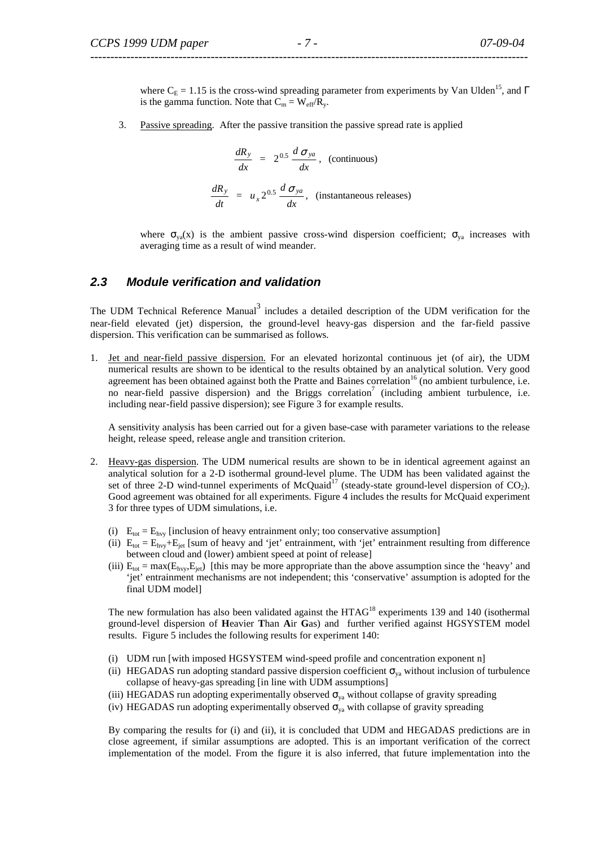where  $C_E = 1.15$  is the cross-wind spreading parameter from experiments by Van Ulden<sup>15</sup>, and Γ is the gamma function. Note that  $C_m = W_{eff}/R_y$ .

3. Passive spreading. After the passive transition the passive spread rate is applied

$$
\frac{dR_y}{dx} = 2^{0.5} \frac{d \sigma_{ya}}{dx}, \text{ (continuous)}
$$
\n
$$
\frac{dR_y}{dt} = u_x 2^{0.5} \frac{d \sigma_{ya}}{dx}, \text{ (instantaneous releases)}
$$

where  $\sigma_{ya}(x)$  is the ambient passive cross-wind dispersion coefficient;  $\sigma_{ya}$  increases with averaging time as a result of wind meander.

#### **2.3 Module verification and validation**

The UDM Technical Reference Manual<sup>3</sup> includes a detailed description of the UDM verification for the near-field elevated (jet) dispersion, the ground-level heavy-gas dispersion and the far-field passive dispersion. This verification can be summarised as follows.

1. Jet and near-field passive dispersion. For an elevated horizontal continuous jet (of air), the UDM numerical results are shown to be identical to the results obtained by an analytical solution. Very good agreement has been obtained against both the Pratte and Baines correlation<sup>16</sup> (no ambient turbulence, i.e. no near-field passive dispersion) and the Briggs correlation<sup>7</sup> (including ambient turbulence, i.e. including near-field passive dispersion); see Figure 3 for example results.

A sensitivity analysis has been carried out for a given base-case with parameter variations to the release height, release speed, release angle and transition criterion.

- 2. Heavy-gas dispersion. The UDM numerical results are shown to be in identical agreement against an analytical solution for a 2-D isothermal ground-level plume. The UDM has been validated against the set of three 2-D wind-tunnel experiments of McQuaid<sup>17</sup> (steady-state ground-level dispersion of CO<sub>2</sub>). Good agreement was obtained for all experiments. Figure 4 includes the results for McQuaid experiment 3 for three types of UDM simulations, i.e.
	- (i)  $E_{\text{tot}} = E_{\text{hvy}}$  [inclusion of heavy entrainment only; too conservative assumption]
	- (ii)  $E_{tot} = E_{hvv} + E_{jet}$  [sum of heavy and 'jet' entrainment, with 'jet' entrainment resulting from difference between cloud and (lower) ambient speed at point of release]
	- (iii)  $E_{tot} = max(E_{hvv}, E_{jet})$  [this may be more appropriate than the above assumption since the 'heavy' and 'jet' entrainment mechanisms are not independent; this 'conservative' assumption is adopted for the final UDM model]

The new formulation has also been validated against the HTAG<sup>18</sup> experiments 139 and 140 (isothermal ground-level dispersion of **H**eavier **T**han **A**ir **G**as) and further verified against HGSYSTEM model results. Figure 5 includes the following results for experiment 140:

- (i) UDM run [with imposed HGSYSTEM wind-speed profile and concentration exponent n]
- (ii) HEGADAS run adopting standard passive dispersion coefficient  $\sigma_{va}$  without inclusion of turbulence collapse of heavy-gas spreading [in line with UDM assumptions]
- (iii) HEGADAS run adopting experimentally observed  $\sigma_{ya}$  without collapse of gravity spreading
- (iv) HEGADAS run adopting experimentally observed  $\sigma_{ya}$  with collapse of gravity spreading

By comparing the results for (i) and (ii), it is concluded that UDM and HEGADAS predictions are in close agreement, if similar assumptions are adopted. This is an important verification of the correct implementation of the model. From the figure it is also inferred, that future implementation into the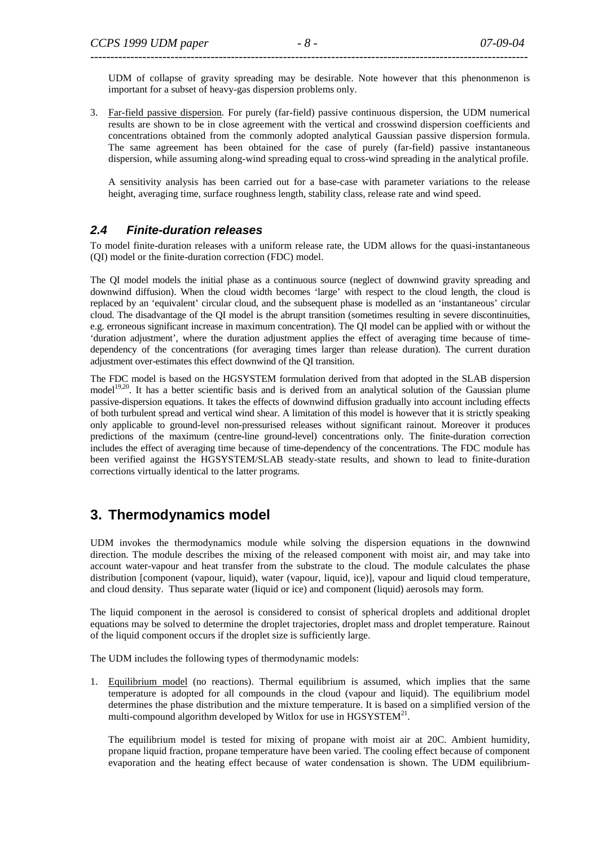UDM of collapse of gravity spreading may be desirable. Note however that this phenonmenon is important for a subset of heavy-gas dispersion problems only.

3. Far-field passive dispersion. For purely (far-field) passive continuous dispersion, the UDM numerical results are shown to be in close agreement with the vertical and crosswind dispersion coefficients and concentrations obtained from the commonly adopted analytical Gaussian passive dispersion formula. The same agreement has been obtained for the case of purely (far-field) passive instantaneous dispersion, while assuming along-wind spreading equal to cross-wind spreading in the analytical profile.

A sensitivity analysis has been carried out for a base-case with parameter variations to the release height, averaging time, surface roughness length, stability class, release rate and wind speed.

### **2.4 Finite-duration releases**

To model finite-duration releases with a uniform release rate, the UDM allows for the quasi-instantaneous (QI) model or the finite-duration correction (FDC) model.

The QI model models the initial phase as a continuous source (neglect of downwind gravity spreading and downwind diffusion). When the cloud width becomes 'large' with respect to the cloud length, the cloud is replaced by an 'equivalent' circular cloud, and the subsequent phase is modelled as an 'instantaneous' circular cloud. The disadvantage of the QI model is the abrupt transition (sometimes resulting in severe discontinuities, e.g. erroneous significant increase in maximum concentration). The QI model can be applied with or without the 'duration adjustment', where the duration adjustment applies the effect of averaging time because of timedependency of the concentrations (for averaging times larger than release duration). The current duration adjustment over-estimates this effect downwind of the QI transition.

The FDC model is based on the HGSYSTEM formulation derived from that adopted in the SLAB dispersion model<sup>19,20</sup>. It has a better scientific basis and is derived from an analytical solution of the Gaussian plume passive-dispersion equations. It takes the effects of downwind diffusion gradually into account including effects of both turbulent spread and vertical wind shear. A limitation of this model is however that it is strictly speaking only applicable to ground-level non-pressurised releases without significant rainout. Moreover it produces predictions of the maximum (centre-line ground-level) concentrations only. The finite-duration correction includes the effect of averaging time because of time-dependency of the concentrations. The FDC module has been verified against the HGSYSTEM/SLAB steady-state results, and shown to lead to finite-duration corrections virtually identical to the latter programs.

# **3. Thermodynamics model**

UDM invokes the thermodynamics module while solving the dispersion equations in the downwind direction. The module describes the mixing of the released component with moist air, and may take into account water-vapour and heat transfer from the substrate to the cloud. The module calculates the phase distribution [component (vapour, liquid), water (vapour, liquid, ice)], vapour and liquid cloud temperature, and cloud density. Thus separate water (liquid or ice) and component (liquid) aerosols may form.

The liquid component in the aerosol is considered to consist of spherical droplets and additional droplet equations may be solved to determine the droplet trajectories, droplet mass and droplet temperature. Rainout of the liquid component occurs if the droplet size is sufficiently large.

The UDM includes the following types of thermodynamic models:

1. Equilibrium model (no reactions). Thermal equilibrium is assumed, which implies that the same temperature is adopted for all compounds in the cloud (vapour and liquid). The equilibrium model determines the phase distribution and the mixture temperature. It is based on a simplified version of the multi-compound algorithm developed by Witlox for use in  $HGSYSTEM<sup>21</sup>$ .

The equilibrium model is tested for mixing of propane with moist air at 20C. Ambient humidity, propane liquid fraction, propane temperature have been varied. The cooling effect because of component evaporation and the heating effect because of water condensation is shown. The UDM equilibrium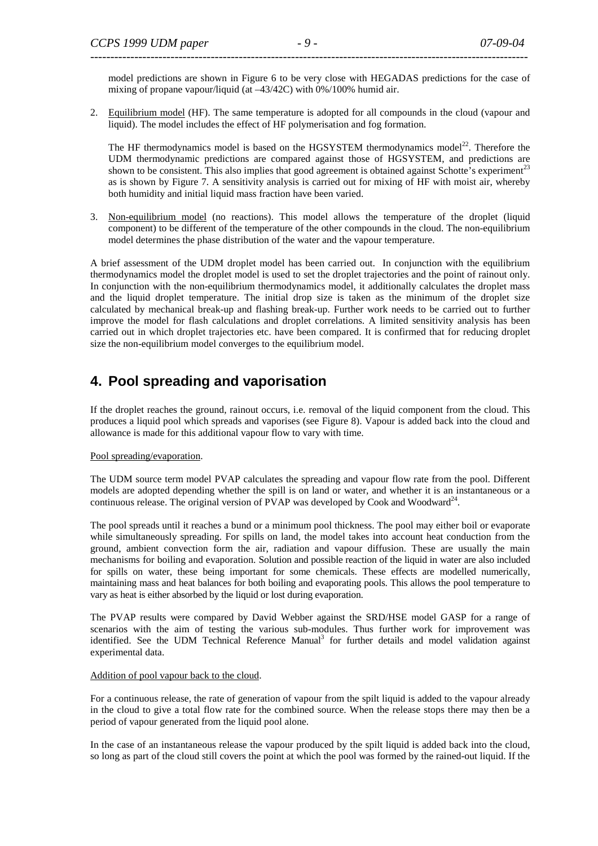model predictions are shown in Figure 6 to be very close with HEGADAS predictions for the case of mixing of propane vapour/liquid (at –43/42C) with 0%/100% humid air.

2. Equilibrium model (HF). The same temperature is adopted for all compounds in the cloud (vapour and liquid). The model includes the effect of HF polymerisation and fog formation.

The HF thermodynamics model is based on the HGSYSTEM thermodynamics model<sup>22</sup>. Therefore the UDM thermodynamic predictions are compared against those of HGSYSTEM, and predictions are shown to be consistent. This also implies that good agreement is obtained against Schotte's experiment $t^{23}$ as is shown by Figure 7. A sensitivity analysis is carried out for mixing of HF with moist air, whereby both humidity and initial liquid mass fraction have been varied.

3. Non-equilibrium model (no reactions). This model allows the temperature of the droplet (liquid component) to be different of the temperature of the other compounds in the cloud. The non-equilibrium model determines the phase distribution of the water and the vapour temperature.

A brief assessment of the UDM droplet model has been carried out. In conjunction with the equilibrium thermodynamics model the droplet model is used to set the droplet trajectories and the point of rainout only. In conjunction with the non-equilibrium thermodynamics model, it additionally calculates the droplet mass and the liquid droplet temperature. The initial drop size is taken as the minimum of the droplet size calculated by mechanical break-up and flashing break-up. Further work needs to be carried out to further improve the model for flash calculations and droplet correlations. A limited sensitivity analysis has been carried out in which droplet trajectories etc. have been compared. It is confirmed that for reducing droplet size the non-equilibrium model converges to the equilibrium model.

# **4. Pool spreading and vaporisation**

If the droplet reaches the ground, rainout occurs, i.e. removal of the liquid component from the cloud. This produces a liquid pool which spreads and vaporises (see Figure 8). Vapour is added back into the cloud and allowance is made for this additional vapour flow to vary with time.

#### Pool spreading/evaporation.

The UDM source term model PVAP calculates the spreading and vapour flow rate from the pool. Different models are adopted depending whether the spill is on land or water, and whether it is an instantaneous or a continuous release. The original version of PVAP was developed by Cook and Woodward<sup>24</sup>.

The pool spreads until it reaches a bund or a minimum pool thickness. The pool may either boil or evaporate while simultaneously spreading. For spills on land, the model takes into account heat conduction from the ground, ambient convection form the air, radiation and vapour diffusion. These are usually the main mechanisms for boiling and evaporation. Solution and possible reaction of the liquid in water are also included for spills on water, these being important for some chemicals. These effects are modelled numerically, maintaining mass and heat balances for both boiling and evaporating pools. This allows the pool temperature to vary as heat is either absorbed by the liquid or lost during evaporation.

The PVAP results were compared by David Webber against the SRD/HSE model GASP for a range of scenarios with the aim of testing the various sub-modules. Thus further work for improvement was identified. See the UDM Technical Reference Manual<sup>3</sup> for further details and model validation against experimental data.

#### Addition of pool vapour back to the cloud.

For a continuous release, the rate of generation of vapour from the spilt liquid is added to the vapour already in the cloud to give a total flow rate for the combined source. When the release stops there may then be a period of vapour generated from the liquid pool alone.

In the case of an instantaneous release the vapour produced by the spilt liquid is added back into the cloud, so long as part of the cloud still covers the point at which the pool was formed by the rained-out liquid. If the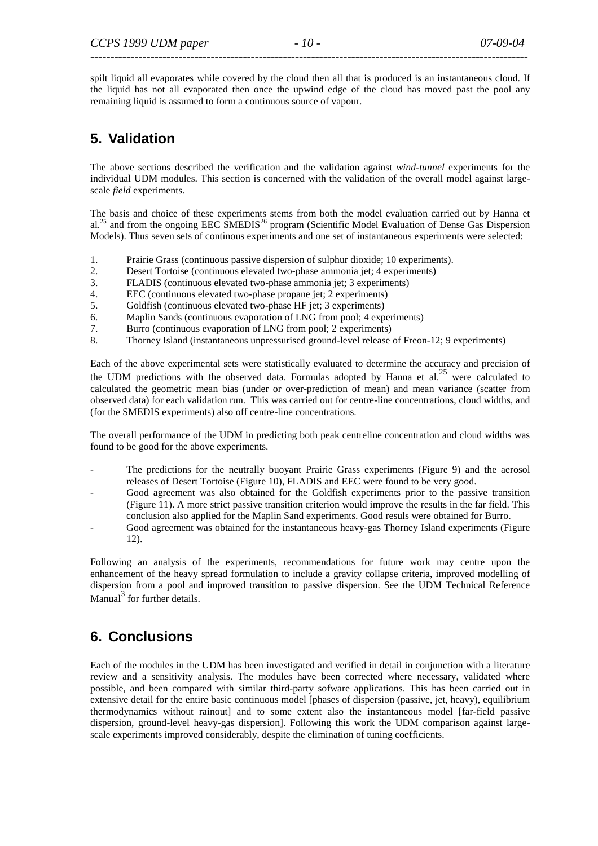spilt liquid all evaporates while covered by the cloud then all that is produced is an instantaneous cloud. If the liquid has not all evaporated then once the upwind edge of the cloud has moved past the pool any remaining liquid is assumed to form a continuous source of vapour.

# **5. Validation**

The above sections described the verification and the validation against *wind-tunnel* experiments for the individual UDM modules. This section is concerned with the validation of the overall model against largescale *field* experiments.

The basis and choice of these experiments stems from both the model evaluation carried out by Hanna et al.<sup>25</sup> and from the ongoing EEC SMEDIS<sup>26</sup> program (Scientific Model Evaluation of Dense Gas Dispersion Models). Thus seven sets of continous experiments and one set of instantaneous experiments were selected:

- 1. Prairie Grass (continuous passive dispersion of sulphur dioxide; 10 experiments).
- 2. Desert Tortoise (continuous elevated two-phase ammonia jet; 4 experiments)
- 3. FLADIS (continuous elevated two-phase ammonia jet; 3 experiments)
- 4. EEC (continuous elevated two-phase propane jet; 2 experiments)
- 5. Goldfish (continuous elevated two-phase HF jet; 3 experiments)
- 6. Maplin Sands (continuous evaporation of LNG from pool; 4 experiments)
- 7. Burro (continuous evaporation of LNG from pool; 2 experiments)
- 8. Thorney Island (instantaneous unpressurised ground-level release of Freon-12; 9 experiments)

Each of the above experimental sets were statistically evaluated to determine the accuracy and precision of the UDM predictions with the observed data. Formulas adopted by Hanna et al.<sup>25</sup> were calculated to calculated the geometric mean bias (under or over-prediction of mean) and mean variance (scatter from observed data) for each validation run. This was carried out for centre-line concentrations, cloud widths, and (for the SMEDIS experiments) also off centre-line concentrations.

The overall performance of the UDM in predicting both peak centreline concentration and cloud widths was found to be good for the above experiments.

- The predictions for the neutrally buoyant Prairie Grass experiments (Figure 9) and the aerosol releases of Desert Tortoise (Figure 10), FLADIS and EEC were found to be very good.
- Good agreement was also obtained for the Goldfish experiments prior to the passive transition (Figure 11). A more strict passive transition criterion would improve the results in the far field. This conclusion also applied for the Maplin Sand experiments. Good resuls were obtained for Burro.
- Good agreement was obtained for the instantaneous heavy-gas Thorney Island experiments (Figure 12).

Following an analysis of the experiments, recommendations for future work may centre upon the enhancement of the heavy spread formulation to include a gravity collapse criteria, improved modelling of dispersion from a pool and improved transition to passive dispersion. See the UDM Technical Reference  $M$ anual<sup>3</sup> for further details.

# **6. Conclusions**

Each of the modules in the UDM has been investigated and verified in detail in conjunction with a literature review and a sensitivity analysis. The modules have been corrected where necessary, validated where possible, and been compared with similar third-party sofware applications. This has been carried out in extensive detail for the entire basic continuous model [phases of dispersion (passive, jet, heavy), equilibrium thermodynamics without rainout] and to some extent also the instantaneous model [far-field passive dispersion, ground-level heavy-gas dispersion]. Following this work the UDM comparison against largescale experiments improved considerably, despite the elimination of tuning coefficients.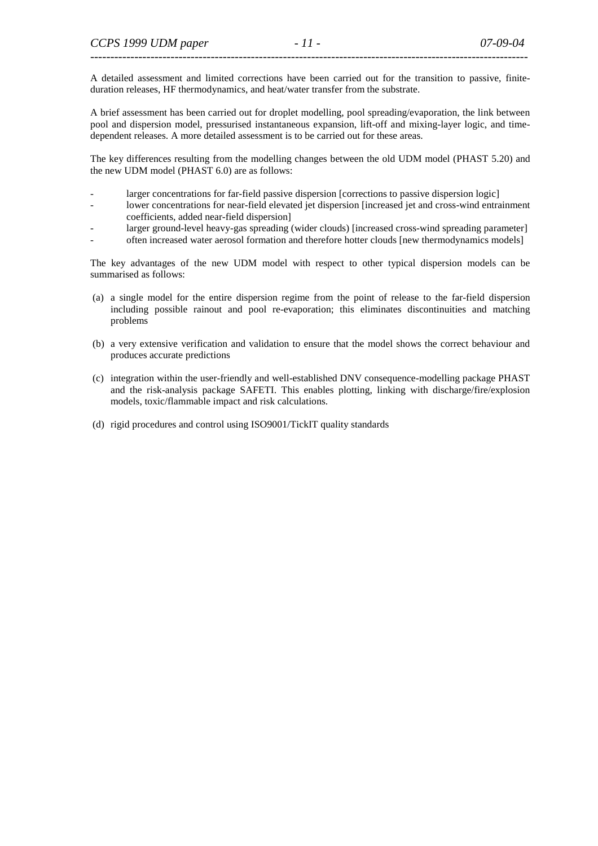A detailed assessment and limited corrections have been carried out for the transition to passive, finiteduration releases, HF thermodynamics, and heat/water transfer from the substrate.

A brief assessment has been carried out for droplet modelling, pool spreading/evaporation, the link between pool and dispersion model, pressurised instantaneous expansion, lift-off and mixing-layer logic, and timedependent releases. A more detailed assessment is to be carried out for these areas.

The key differences resulting from the modelling changes between the old UDM model (PHAST 5.20) and the new UDM model (PHAST 6.0) are as follows:

- larger concentrations for far-field passive dispersion [corrections to passive dispersion logic]
- lower concentrations for near-field elevated jet dispersion [increased jet and cross-wind entrainment coefficients, added near-field dispersion]
- larger ground-level heavy-gas spreading (wider clouds) [increased cross-wind spreading parameter]
- often increased water aerosol formation and therefore hotter clouds [new thermodynamics models]

The key advantages of the new UDM model with respect to other typical dispersion models can be summarised as follows:

- (a) a single model for the entire dispersion regime from the point of release to the far-field dispersion including possible rainout and pool re-evaporation; this eliminates discontinuities and matching problems
- (b) a very extensive verification and validation to ensure that the model shows the correct behaviour and produces accurate predictions
- (c) integration within the user-friendly and well-established DNV consequence-modelling package PHAST and the risk-analysis package SAFETI. This enables plotting, linking with discharge/fire/explosion models, toxic/flammable impact and risk calculations.
- (d) rigid procedures and control using ISO9001/TickIT quality standards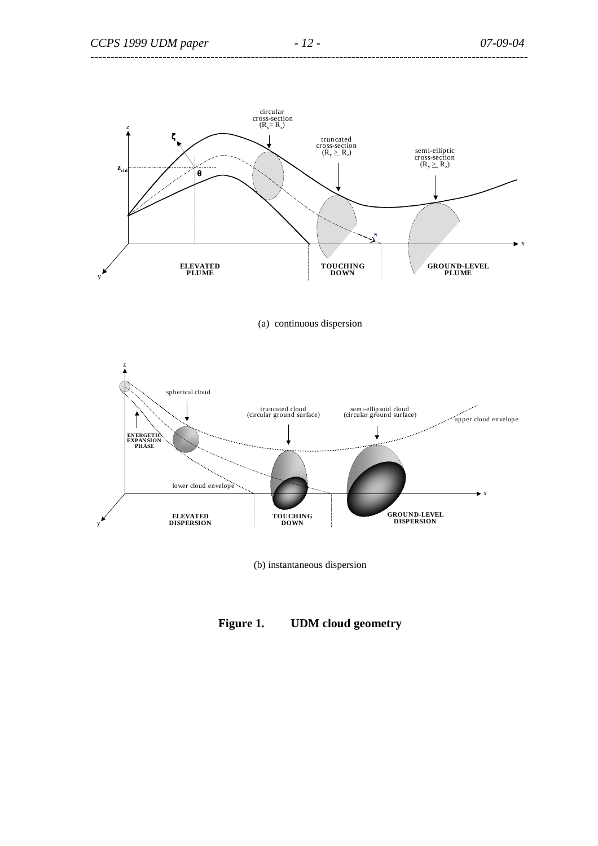

(a) continuous dispersion



(b) instantaneous dispersion

# **Figure 1. UDM cloud geometry**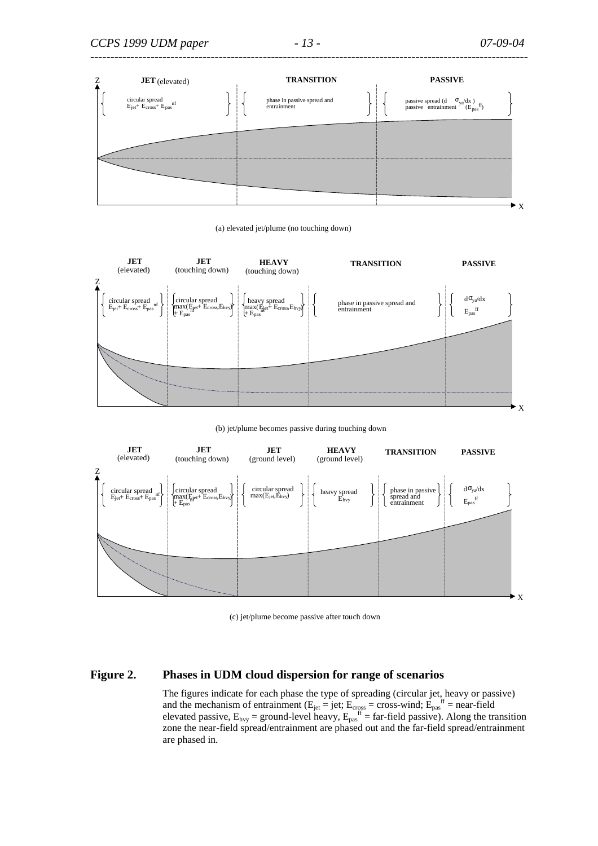

(a) elevated jet/plume (no touching down)



(b) jet/plume becomes passive during touching down



(c) jet/plume become passive after touch down

#### **Figure 2. Phases in UDM cloud dispersion for range of scenarios**

The figures indicate for each phase the type of spreading (circular jet, heavy or passive) and the mechanism of entrainment ( $E_{jet}$  = jet;  $E_{cross}$  = cross-wind;  $E_{pas}^{ff}$  = near-field elevated passive,  $E_{\text{hvy}} =$  ground-level heavy,  $E_{\text{pas}}^{\text{ff}} =$  far-field passive). Along the transition zone the near-field spread/entrainment are phased out and the far-field spread/entrainment are phased in.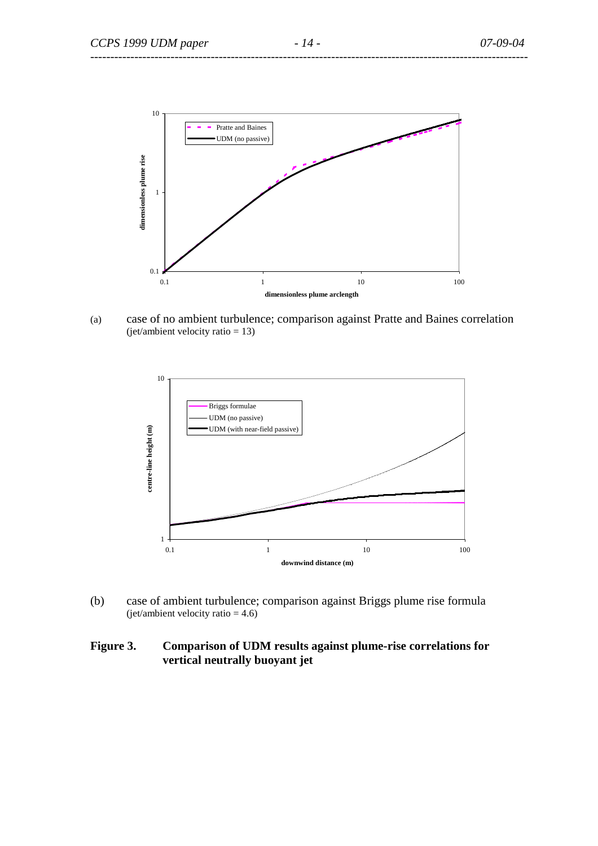

(a) case of no ambient turbulence; comparison against Pratte and Baines correlation (jet/ambient velocity ratio = 13)



(b) case of ambient turbulence; comparison against Briggs plume rise formula (jet/ambient velocity ratio  $= 4.6$ )

# **Figure 3. Comparison of UDM results against plume-rise correlations for vertical neutrally buoyant jet**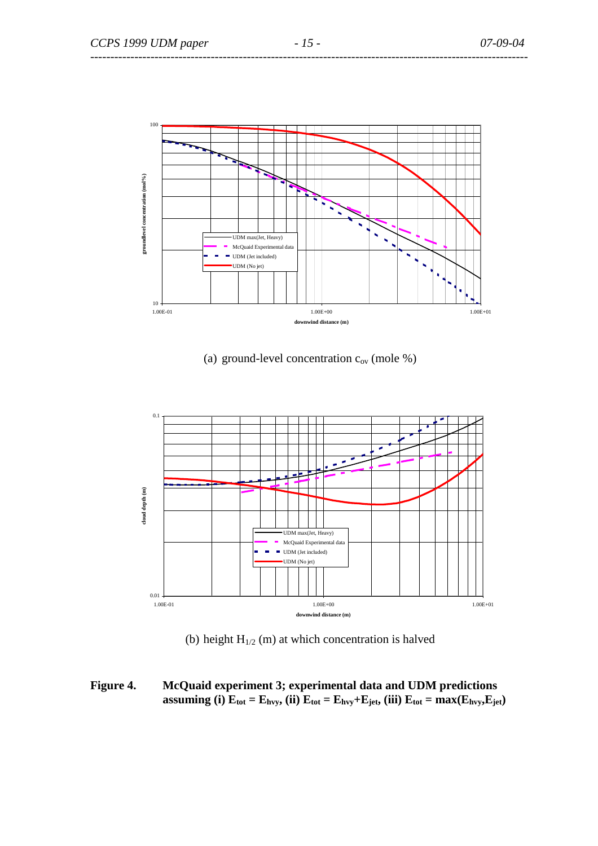

## (a) ground-level concentration  $c_{ov}$  (mole %)



(b) height  $H_{1/2}$  (m) at which concentration is halved

**Figure 4. McQuaid experiment 3; experimental data and UDM predictions assuming (i)**  $\mathbf{E}_{\text{tot}} = \mathbf{E}_{\text{hvy}}$ , (ii)  $\mathbf{E}_{\text{tot}} = \mathbf{E}_{\text{hvy}} + \mathbf{E}_{\text{jet}}$ , (iii)  $\mathbf{E}_{\text{tot}} = \text{max}(\mathbf{E}_{\text{hvy}} \mathbf{E}_{\text{jet}})$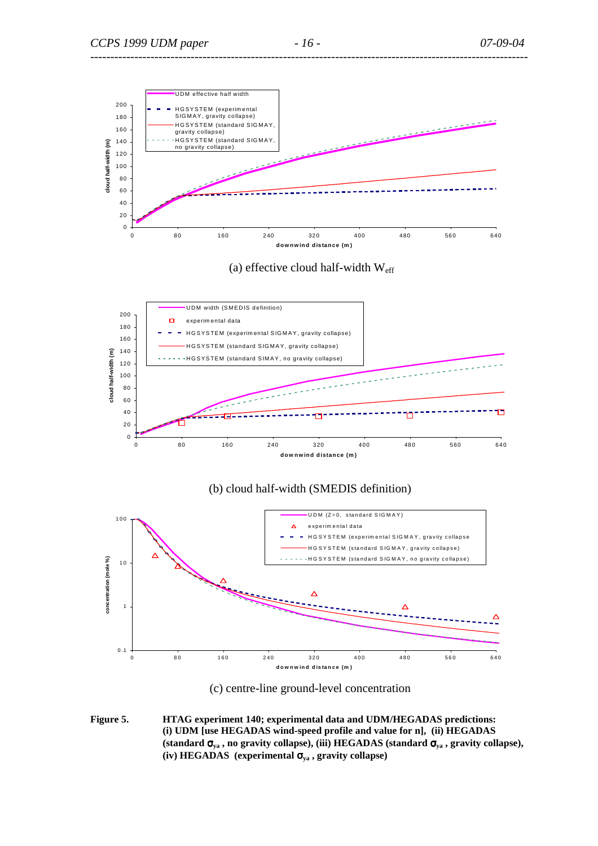



### (b) cloud half-width (SMEDIS definition)





**Figure 5. HTAG experiment 140; experimental data and UDM/HEGADAS predictions: (i) UDM [use HEGADAS wind-speed profile and value for n], (ii) HEGADAS (standard** σ**ya , no gravity collapse), (iii) HEGADAS (standard** σ**ya , gravity collapse), (iv) HEGADAS (experimental** σ**ya , gravity collapse)**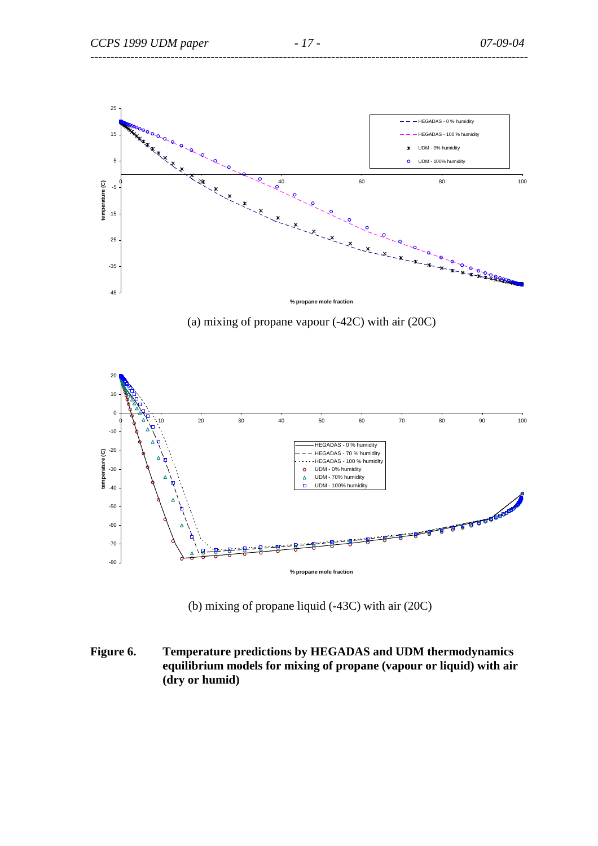

(a) mixing of propane vapour (-42C) with air (20C)



(b) mixing of propane liquid (-43C) with air (20C)

**Figure 6. Temperature predictions by HEGADAS and UDM thermodynamics equilibrium models for mixing of propane (vapour or liquid) with air (dry or humid)**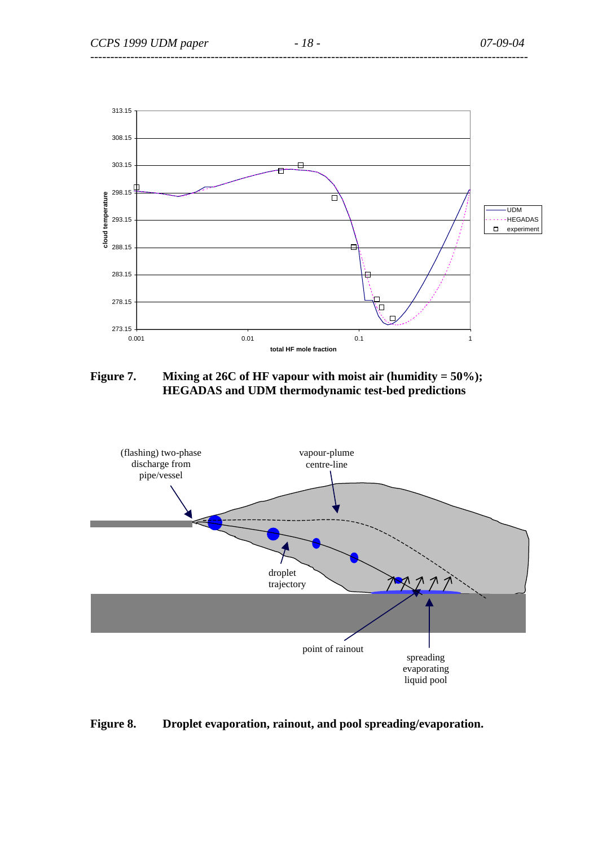

Figure 7. Mixing at 26C of HF vapour with moist air (humidity = 50%); **HEGADAS and UDM thermodynamic test-bed predictions** 



# **Figure 8. Droplet evaporation, rainout, and pool spreading/evaporation.**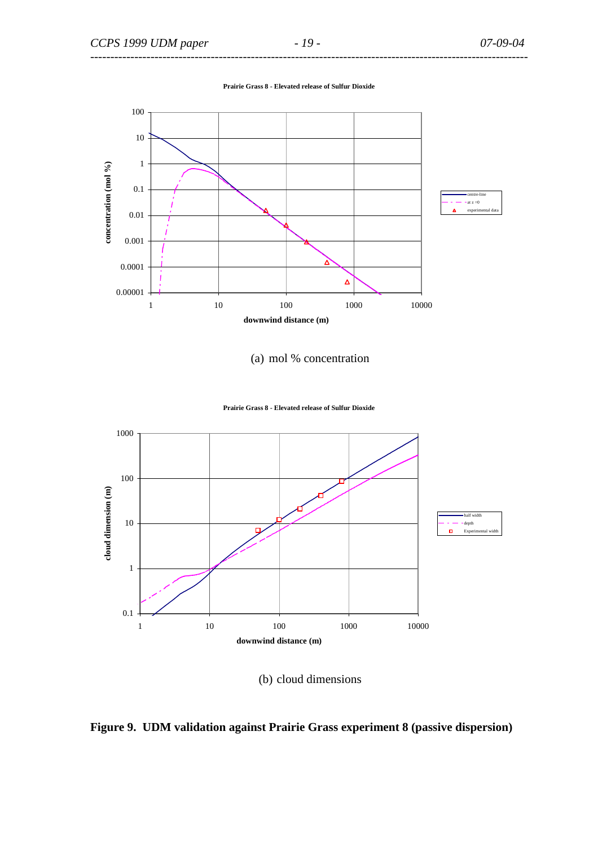**Prairie Grass 8 - Elevated release of Sulfur Dioxide**



(a) mol % concentration

![](_page_18_Figure_5.jpeg)

![](_page_18_Figure_6.jpeg)

(b) cloud dimensions

![](_page_18_Figure_8.jpeg)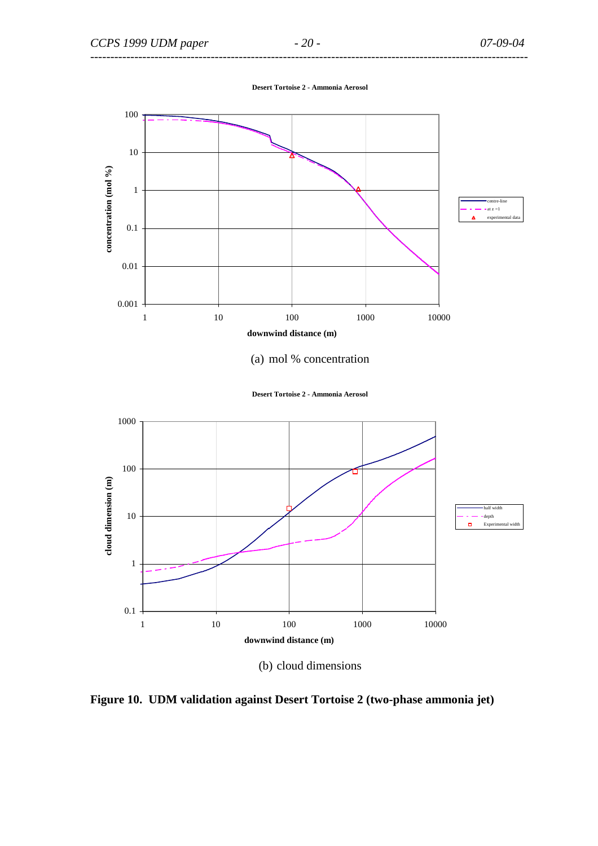**Desert Tortoise 2 - Ammonia Aerosol**

![](_page_19_Figure_4.jpeg)

- (a) mol % concentration
- **Desert Tortoise 2 Ammonia Aerosol**

![](_page_19_Figure_7.jpeg)

(b) cloud dimensions

**Figure 10. UDM validation against Desert Tortoise 2 (two-phase ammonia jet)**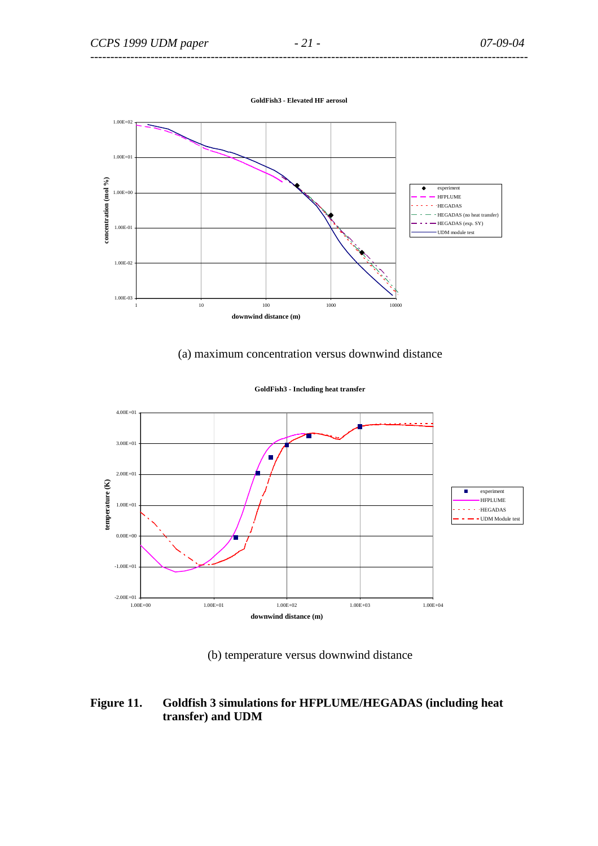![](_page_20_Figure_3.jpeg)

(a) maximum concentration versus downwind distance

![](_page_20_Figure_5.jpeg)

![](_page_20_Figure_6.jpeg)

(b) temperature versus downwind distance

# **Figure 11. Goldfish 3 simulations for HFPLUME/HEGADAS (including heat transfer) and UDM**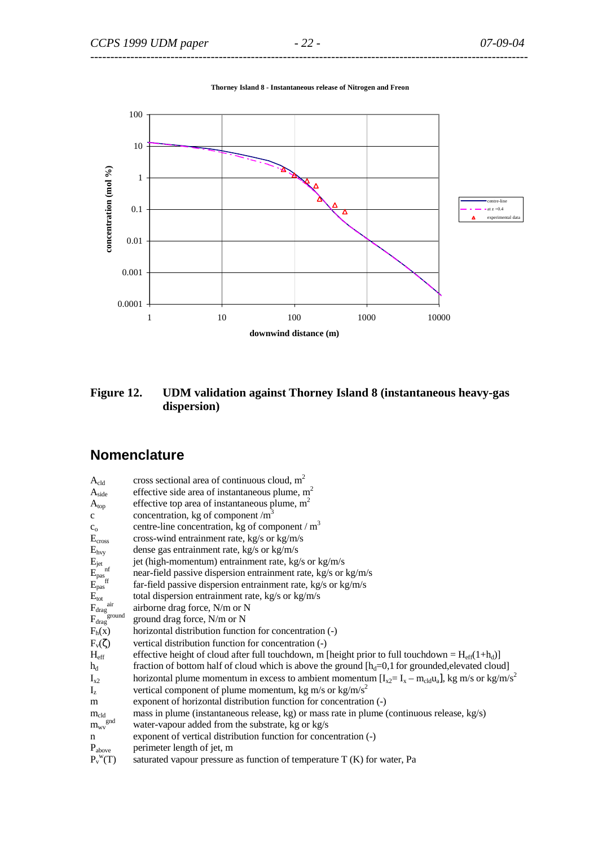![](_page_21_Figure_3.jpeg)

**Thorney Island 8 - Instantaneous release of Nitrogen and Freon**

**Figure 12. UDM validation against Thorney Island 8 (instantaneous heavy-gas dispersion)** 

# **Nomenclature**

| $A_{cld}$                                                                                       | cross sectional area of continuous cloud, $m2$                                                                        |
|-------------------------------------------------------------------------------------------------|-----------------------------------------------------------------------------------------------------------------------|
| A <sub>side</sub>                                                                               | effective side area of instantaneous plume, $m2$                                                                      |
| $A_{top}$                                                                                       | effective top area of instantaneous plume, $m2$                                                                       |
| $\mathbf c$                                                                                     | concentration, kg of component $/m3$                                                                                  |
| $C_0$                                                                                           | centre-line concentration, kg of component / $m3$                                                                     |
| E <sub>cross</sub>                                                                              | cross-wind entrainment rate, kg/s or kg/m/s                                                                           |
| $E_{\text{hvy}}$                                                                                | dense gas entrainment rate, kg/s or kg/m/s                                                                            |
|                                                                                                 | jet (high-momentum) entrainment rate, kg/s or kg/m/s                                                                  |
|                                                                                                 | near-field passive dispersion entrainment rate, kg/s or kg/m/s                                                        |
| $\begin{array}{l} E_{\rm jet} \ E_{\rm pas}^{\rm \; nf} \ E_{\rm pas}^{\rm \; off} \end{array}$ | far-field passive dispersion entrainment rate, kg/s or kg/m/s                                                         |
| $E_{\text{tot}}$                                                                                | total dispersion entrainment rate, kg/s or kg/m/s                                                                     |
| air<br>$F_{drag}^{a}$                                                                           | airborne drag force, N/m or N                                                                                         |
| $\mathbf{F}_{\rm drag}$ ground                                                                  | ground drag force, N/m or N                                                                                           |
| $F_h(x)$                                                                                        | horizontal distribution function for concentration (-)                                                                |
| $F_v(\zeta)$                                                                                    | vertical distribution function for concentration (-)                                                                  |
| $H_{eff}$                                                                                       | effective height of cloud after full touchdown, m [height prior to full touchdown = $H_{eff}(1+h_d)$ ]                |
| $h_d$                                                                                           | fraction of bottom half of cloud which is above the ground $[h_d=0,1$ for grounded, elevated cloud]                   |
| $I_{x2}$                                                                                        | horizontal plume momentum in excess to ambient momentum $[I_{x2} = I_x - m_{cld}u_a]$ , kg m/s or kg/m/s <sup>2</sup> |
| $I_z$                                                                                           | vertical component of plume momentum, kg m/s or kg/m/s <sup>2</sup>                                                   |
| m                                                                                               | exponent of horizontal distribution function for concentration (-)                                                    |
| $m_{\rm cld}$                                                                                   | mass in plume (instantaneous release, kg) or mass rate in plume (continuous release, kg/s)                            |
| $\mathbf{m}_{\text{wv}}^{\text{end}}$                                                           | water-vapour added from the substrate, kg or kg/s                                                                     |
| n                                                                                               | exponent of vertical distribution function for concentration (-)                                                      |
| $P_{above}$                                                                                     | perimeter length of jet, m                                                                                            |
| $P_v^{\text{w}}(T)$                                                                             | saturated vapour pressure as function of temperature $T(K)$ for water, Pa                                             |
|                                                                                                 |                                                                                                                       |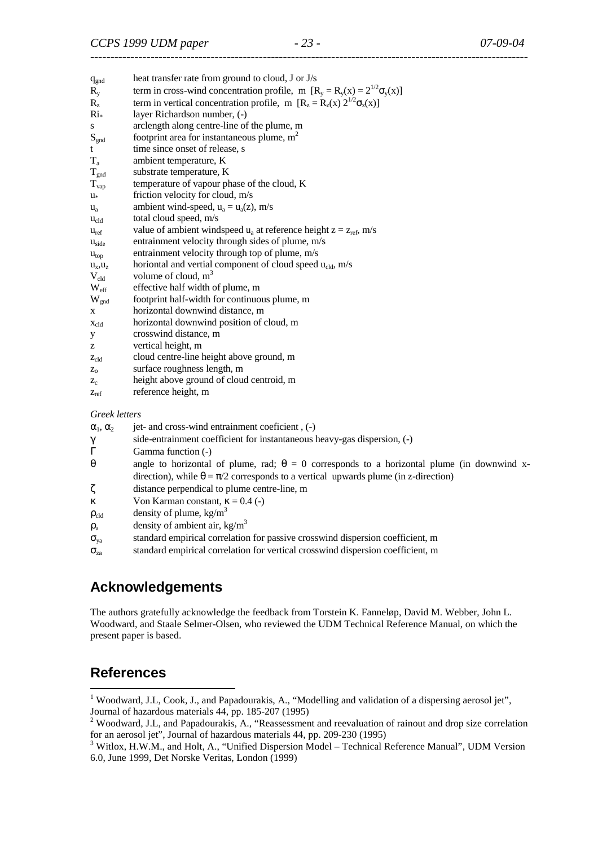| $q_{\text{gnd}}$ | heat transfer rate from ground to cloud, J or J/s                                  |
|------------------|------------------------------------------------------------------------------------|
| $R_{y}$          | term in cross-wind concentration profile, m $[R_v = R_v(x) = 2^{1/2} \sigma_v(x)]$ |
| $R_{z}$          | term in vertical concentration profile, m $[R_z = R_z(x) 2^{1/2} \sigma_z(x)]$     |
| $Ri*$            | layer Richardson number, (-)                                                       |
| S                | arclength along centre-line of the plume, m                                        |
| $S_{\text{gnd}}$ | footprint area for instantaneous plume, $m2$                                       |
| t                | time since onset of release, s                                                     |
| $T_{a}$          | ambient temperature, K                                                             |
| $T_{\text{gnd}}$ | substrate temperature, K                                                           |
| $T_{\rm vap}$    | temperature of vapour phase of the cloud, K                                        |
| $u^*$            | friction velocity for cloud, m/s                                                   |
| $u_{a}$          | ambient wind-speed, $u_a = u_a(z)$ , m/s                                           |
| $u_{cld}$        | total cloud speed, m/s                                                             |
| $u_{ref}$        | value of ambient windspeed $u_a$ at reference height $z = z_{ref}$ , m/s           |
| $u_{side}$       | entrainment velocity through sides of plume, m/s                                   |
| u <sub>top</sub> | entrainment velocity through top of plume, m/s                                     |
| $u_x, u_z$       | horiontal and vertial component of cloud speed $u_{\text{cld}}$ , m/s              |
| $V_{cld}$        | volume of cloud, $m3$                                                              |
| $W_{\text{eff}}$ | effective half width of plume, m                                                   |
| $W_{\text{gnd}}$ | footprint half-width for continuous plume, m                                       |
| X                | horizontal downwind distance, m                                                    |
| $X_{cld}$        | horizontal downwind position of cloud, m                                           |
| У                | crosswind distance, m                                                              |
| Z.               | vertical height, m                                                                 |
| $Z_{c1d}$        | cloud centre-line height above ground, m                                           |
| $Z_0$            | surface roughness length, m                                                        |
| $Z_c$            | height above ground of cloud centroid, m                                           |
| $Z_{\text{ref}}$ | reference height, m                                                                |
|                  |                                                                                    |

*Greek letters* 

 $\alpha_1, \alpha_2$  jet- and cross-wind entrainment coeficient , (-)

- γ side-entrainment coefficient for instantaneous heavy-gas dispersion, (-)
- Γ Gamma function (-)
- θ angle to horizontal of plume, rad; θ = 0 corresponds to a horizontal plume (in downwind xdirection), while  $\theta = \pi/2$  corresponds to a vertical upwards plume (in z-direction)
- ζ distance perpendical to plume centre-line, m
- κ Von Karman constant, κ = 0.4 (-)
- $\rho_{\text{cld}}$  density of plume, kg/m<sup>3</sup>
- $\rho_a$ density of ambient air, kg/m<sup>3</sup>
- $\sigma_{va}$  standard empirical correlation for passive crosswind dispersion coefficient, m
- $\sigma_{\text{za}}$  standard empirical correlation for vertical crosswind dispersion coefficient, m

# **Acknowledgements**

The authors gratefully acknowledge the feedback from Torstein K. Fanneløp, David M. Webber, John L. Woodward, and Staale Selmer-Olsen, who reviewed the UDM Technical Reference Manual, on which the present paper is based.

# **References**

 $\overline{a}$ 

<sup>&</sup>lt;sup>1</sup> Woodward, J.L, Cook, J., and Papadourakis, A., "Modelling and validation of a dispersing aerosol jet", Journal of hazardous materials 44, pp. 185-207 (1995)

<sup>&</sup>lt;sup>2</sup> Woodward, J.L, and Papadourakis, A., "Reassessment and reevaluation of rainout and drop size correlation for an aerosol jet", Journal of hazardous materials 44, pp. 209-230 (1995)

<sup>&</sup>lt;sup>3</sup> Witlox, H.W.M., and Holt, A., "Unified Dispersion Model – Technical Reference Manual", UDM Version 6.0, June 1999, Det Norske Veritas, London (1999)